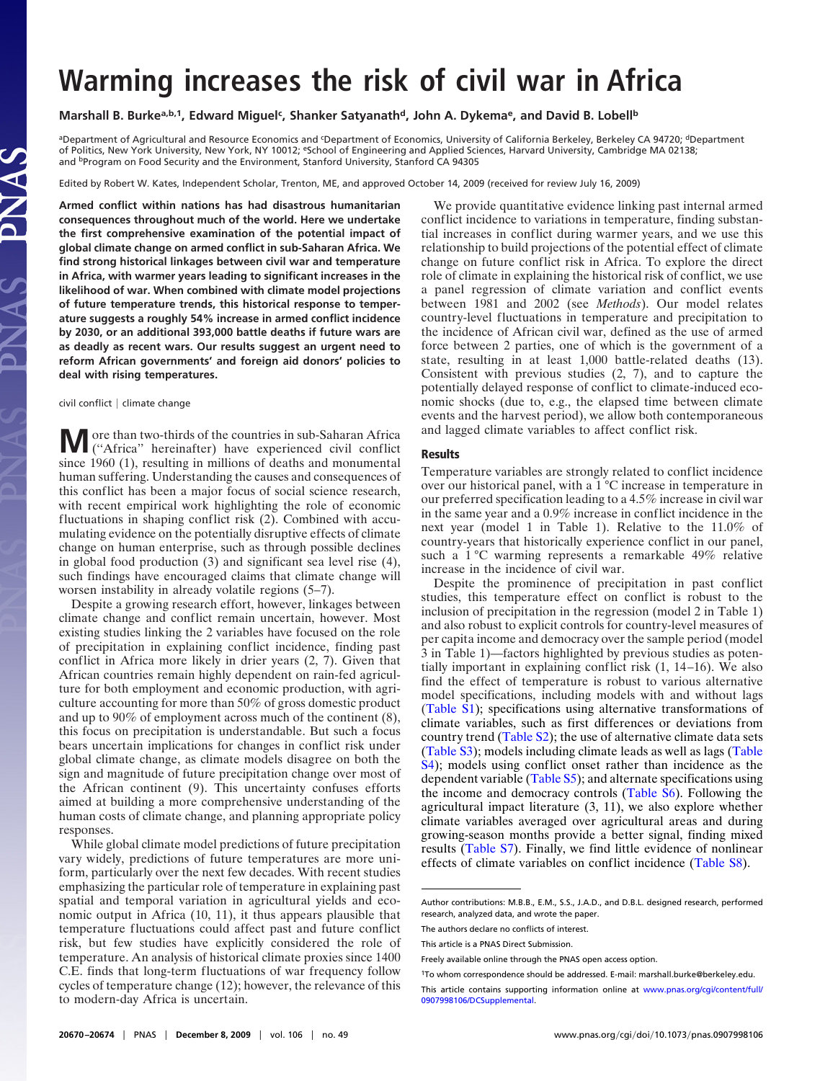# **Warming increases the risk of civil war in Africa**

## Marshall B. Burke<sup>a,b,1</sup>, Edward Miguel<sup>c</sup>, Shanker Satyanath<sup>d</sup>, John A. Dykema<sup>e</sup>, and David B. Lobell<sup>b</sup>

<sup>a</sup>Department of Agricultural and Resource Economics and <sup>c</sup>Department of Economics, University of California Berkeley, Berkeley CA 94720; <sup>d</sup>Department of Politics, New York University, New York, NY 10012; eSchool of Engineering and Applied Sciences, Harvard University, Cambridge MA 02138; and <sup>b</sup>Program on Food Security and the Environment, Stanford University, Stanford CA 94305

Edited by Robert W. Kates, Independent Scholar, Trenton, ME, and approved October 14, 2009 (received for review July 16, 2009)

**Armed conflict within nations has had disastrous humanitarian consequences throughout much of the world. Here we undertake the first comprehensive examination of the potential impact of global climate change on armed conflict in sub-Saharan Africa. We find strong historical linkages between civil war and temperature in Africa, with warmer years leading to significant increases in the likelihood of war. When combined with climate model projections of future temperature trends, this historical response to temperature suggests a roughly 54% increase in armed conflict incidence by 2030, or an additional 393,000 battle deaths if future wars are as deadly as recent wars. Our results suggest an urgent need to reform African governments' and foreign aid donors' policies to deal with rising temperatures.**

#### $civil$  conflict  $|$  climate change

**M** ore than two-thirds of the countries in sub-Saharan Africa ("Africa" hereinafter) have experienced civil conflict since 1960 (1), resulting in millions of deaths and monumental human suffering. Understanding the causes and consequences of this conflict has been a major focus of social science research, with recent empirical work highlighting the role of economic fluctuations in shaping conflict risk (2). Combined with accumulating evidence on the potentially disruptive effects of climate change on human enterprise, such as through possible declines in global food production (3) and significant sea level rise (4), such findings have encouraged claims that climate change will worsen instability in already volatile regions (5–7).

Despite a growing research effort, however, linkages between climate change and conflict remain uncertain, however. Most existing studies linking the 2 variables have focused on the role of precipitation in explaining conflict incidence, finding past conflict in Africa more likely in drier years (2, 7). Given that African countries remain highly dependent on rain-fed agriculture for both employment and economic production, with agriculture accounting for more than 50% of gross domestic product and up to 90% of employment across much of the continent (8), this focus on precipitation is understandable. But such a focus bears uncertain implications for changes in conflict risk under global climate change, as climate models disagree on both the sign and magnitude of future precipitation change over most of the African continent (9). This uncertainty confuses efforts aimed at building a more comprehensive understanding of the human costs of climate change, and planning appropriate policy responses.

While global climate model predictions of future precipitation vary widely, predictions of future temperatures are more uniform, particularly over the next few decades. With recent studies emphasizing the particular role of temperature in explaining past spatial and temporal variation in agricultural yields and economic output in Africa (10, 11), it thus appears plausible that temperature fluctuations could affect past and future conflict risk, but few studies have explicitly considered the role of temperature. An analysis of historical climate proxies since 1400 C.E. finds that long-term fluctuations of war frequency follow cycles of temperature change (12); however, the relevance of this to modern-day Africa is uncertain.

We provide quantitative evidence linking past internal armed conflict incidence to variations in temperature, finding substantial increases in conflict during warmer years, and we use this relationship to build projections of the potential effect of climate change on future conflict risk in Africa. To explore the direct role of climate in explaining the historical risk of conflict, we use a panel regression of climate variation and conflict events between 1981 and 2002 (see *Methods*). Our model relates country-level fluctuations in temperature and precipitation to the incidence of African civil war, defined as the use of armed force between 2 parties, one of which is the government of a state, resulting in at least 1,000 battle-related deaths (13). Consistent with previous studies (2, 7), and to capture the potentially delayed response of conflict to climate-induced economic shocks (due to, e.g., the elapsed time between climate events and the harvest period), we allow both contemporaneous and lagged climate variables to affect conflict risk.

#### **Results**

Temperature variables are strongly related to conflict incidence over our historical panel, with a 1 °C increase in temperature in our preferred specification leading to a 4.5% increase in civil war in the same year and a 0.9% increase in conflict incidence in the next year (model 1 in Table 1). Relative to the 11.0% of country-years that historically experience conflict in our panel, such a 1 °C warming represents a remarkable 49% relative increase in the incidence of civil war.

Despite the prominence of precipitation in past conflict studies, this temperature effect on conflict is robust to the inclusion of precipitation in the regression (model 2 in Table 1) and also robust to explicit controls for country-level measures of per capita income and democracy over the sample period (model 3 in Table 1)—factors highlighted by previous studies as potentially important in explaining conflict risk (1, 14–16). We also find the effect of temperature is robust to various alternative model specifications, including models with and without lags [\(Table S1\)](http://www.pnas.org/cgi/data//DCSupplemental/Supplemental_PDF#nameddest=ST1); specifications using alternative transformations of climate variables, such as first differences or deviations from country trend [\(Table S2\)](http://www.pnas.org/cgi/data//DCSupplemental/Supplemental_PDF#nameddest=ST2); the use of alternative climate data sets [\(Table S3\)](http://www.pnas.org/cgi/data//DCSupplemental/Supplemental_PDF#nameddest=ST3); models including climate leads as well as lags [\(Table](http://www.pnas.org/cgi/data//DCSupplemental/Supplemental_PDF#nameddest=ST4) [S4\)](http://www.pnas.org/cgi/data//DCSupplemental/Supplemental_PDF#nameddest=ST4); models using conflict onset rather than incidence as the dependent variable [\(Table S5\)](http://www.pnas.org/cgi/data//DCSupplemental/Supplemental_PDF#nameddest=ST5); and alternate specifications using the income and democracy controls [\(Table S6\)](http://www.pnas.org/cgi/data//DCSupplemental/Supplemental_PDF#nameddest=ST6). Following the agricultural impact literature (3, 11), we also explore whether climate variables averaged over agricultural areas and during growing-season months provide a better signal, finding mixed results [\(Table S7\)](http://www.pnas.org/cgi/data//DCSupplemental/Supplemental_PDF#nameddest=ST7). Finally, we find little evidence of nonlinear effects of climate variables on conflict incidence [\(Table S8\)](http://www.pnas.org/cgi/data//DCSupplemental/Supplemental_PDF#nameddest=ST8).

Author contributions: M.B.B., E.M., S.S., J.A.D., and D.B.L. designed research, performed research, analyzed data, and wrote the paper.

The authors declare no conflicts of interest.

This article is a PNAS Direct Submission.

Freely available online through the PNAS open access option.

<sup>1</sup>To whom correspondence should be addressed. E-mail: marshall.burke@berkeley.edu.

This article contains supporting information online at [www.pnas.org/cgi/content/full/](http://www.pnas.org/cgi/content/full//DCSupplemental) [0907998106/DCSupplemental.](http://www.pnas.org/cgi/content/full//DCSupplemental)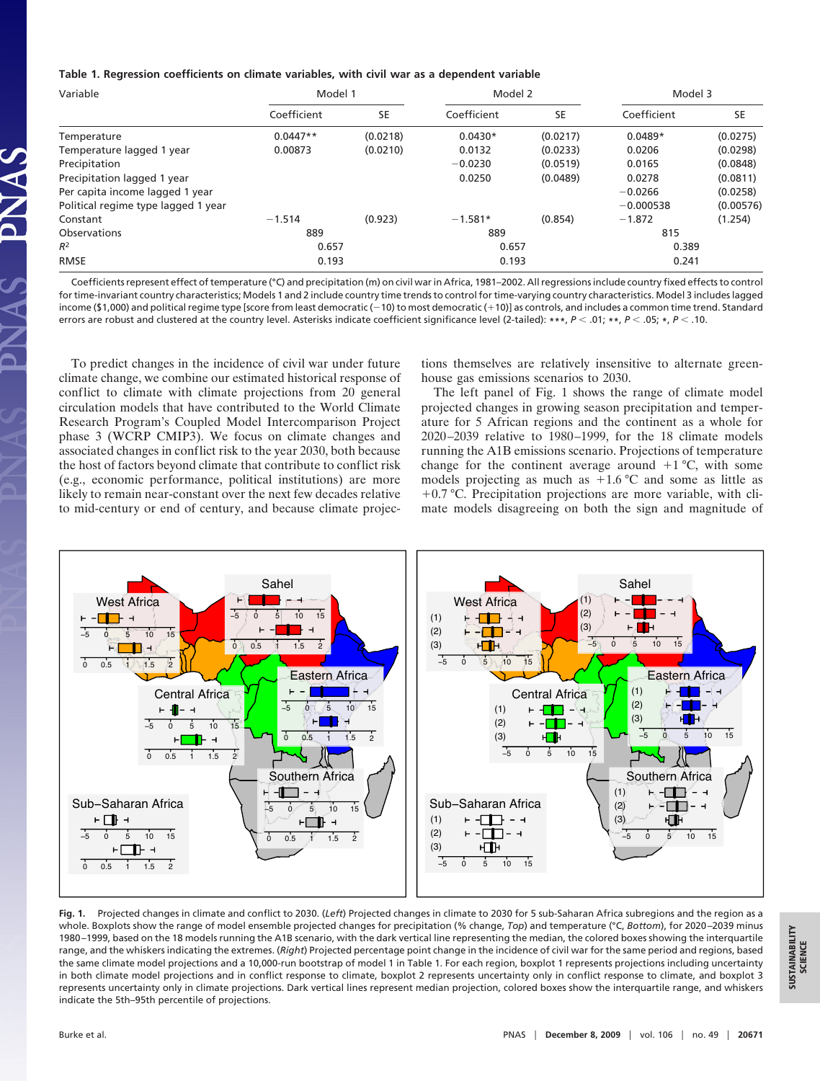## **Table 1. Regression coefficients on climate variables, with civil war as a dependent variable**

| Variable                            | Model 1     |           | Model 2     |           | Model 3     |           |
|-------------------------------------|-------------|-----------|-------------|-----------|-------------|-----------|
|                                     | Coefficient | <b>SE</b> | Coefficient | <b>SE</b> | Coefficient | <b>SE</b> |
| Temperature                         | $0.0447**$  | (0.0218)  | $0.0430*$   | (0.0217)  | $0.0489*$   | (0.0275)  |
| Temperature lagged 1 year           | 0.00873     | (0.0210)  | 0.0132      | (0.0233)  | 0.0206      | (0.0298)  |
| Precipitation                       |             |           | $-0.0230$   | (0.0519)  | 0.0165      | (0.0848)  |
| Precipitation lagged 1 year         |             |           | 0.0250      | (0.0489)  | 0.0278      | (0.0811)  |
| Per capita income lagged 1 year     |             |           |             |           | $-0.0266$   | (0.0258)  |
| Political regime type lagged 1 year |             |           |             |           | $-0.000538$ | (0.00576) |
| Constant                            | $-1.514$    | (0.923)   | $-1.581*$   | (0.854)   | $-1.872$    | (1.254)   |
| Observations                        | 889         |           | 889         |           | 815         |           |
| $R^2$                               | 0.657       |           | 0.657       |           | 0.389       |           |
| <b>RMSE</b>                         | 0.193       |           | 0.193       |           | 0.241       |           |

Coefficients represent effect of temperature (°C) and precipitation (m) on civil war in Africa, 1981–2002. All regressions include country fixed effects to control for time-invariant country characteristics; Models 1 and 2 include country time trends to control for time-varying country characteristics. Model 3 includes lagged income (\$1,000) and political regime type [score from least democratic (–10) to most democratic (+10)] as controls, and includes a common time trend. Standard errors are robust and clustered at the country level. Asterisks indicate coefficient significance level (2-tailed): **\*\*\***, *P* .01; **\*\***, *P* .05; **\***, *P* .10.

To predict changes in the incidence of civil war under future climate change, we combine our estimated historical response of conflict to climate with climate projections from 20 general circulation models that have contributed to the World Climate Research Program's Coupled Model Intercomparison Project phase 3 (WCRP CMIP3). We focus on climate changes and associated changes in conflict risk to the year 2030, both because the host of factors beyond climate that contribute to conflict risk (e.g., economic performance, political institutions) are more likely to remain near-constant over the next few decades relative to mid-century or end of century, and because climate projections themselves are relatively insensitive to alternate greenhouse gas emissions scenarios to 2030.

The left panel of Fig. 1 shows the range of climate model projected changes in growing season precipitation and temperature for 5 African regions and the continent as a whole for 2020–2039 relative to 1980–1999, for the 18 climate models running the A1B emissions scenario. Projections of temperature change for the continent average around  $+1$  °C, with some models projecting as much as  $+1.6$  °C and some as little as  $+0.7$  °C. Precipitation projections are more variable, with climate models disagreeing on both the sign and magnitude of



**Fig. 1.** Projected changes in climate and conflict to 2030. (*Left*) Projected changes in climate to 2030 for 5 sub-Saharan Africa subregions and the region as a whole. Boxplots show the range of model ensemble projected changes for precipitation (% change, *Top*) and temperature (°C, *Bottom*), for 2020 –2039 minus 1980 –1999, based on the 18 models running the A1B scenario, with the dark vertical line representing the median, the colored boxes showing the interquartile range, and the whiskers indicating the extremes. (*Right*) Projected percentage point change in the incidence of civil war for the same period and regions, based the same climate model projections and a 10,000-run bootstrap of model 1 in Table 1. For each region, boxplot 1 represents projections including uncertainty in both climate model projections and in conflict response to climate, boxplot 2 represents uncertainty only in conflict response to climate, and boxplot 3 represents uncertainty only in climate projections. Dark vertical lines represent median projection, colored boxes show the interquartile range, and whiskers indicate the 5th–95th percentile of projections.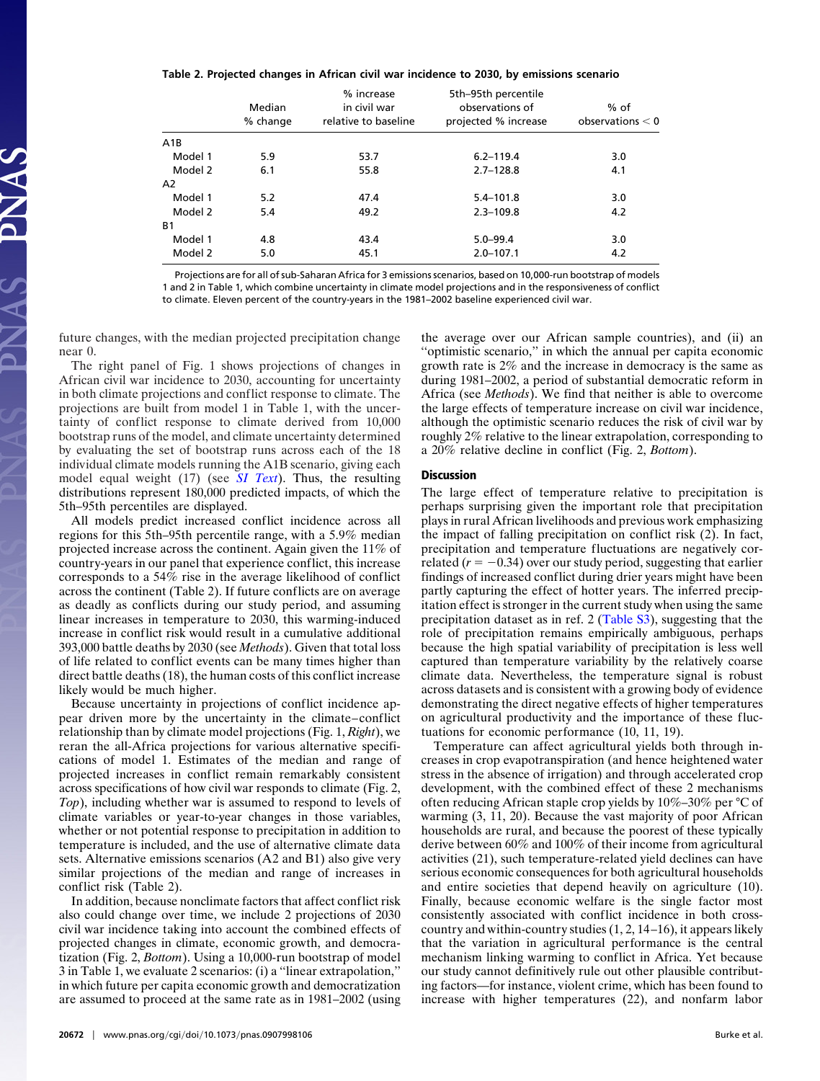### **Table 2. Projected changes in African civil war incidence to 2030, by emissions scenario**

|                | Median<br>% change | % increase<br>in civil war<br>relative to baseline | 5th-95th percentile<br>observations of<br>projected % increase | $%$ of<br>observations $< 0$ |
|----------------|--------------------|----------------------------------------------------|----------------------------------------------------------------|------------------------------|
| A1B            |                    |                                                    |                                                                |                              |
| Model 1        | 5.9                | 53.7                                               | $6.2 - 119.4$                                                  | 3.0                          |
| Model 2        | 6.1                | 55.8                                               | $2.7 - 128.8$                                                  | 4.1                          |
| A <sub>2</sub> |                    |                                                    |                                                                |                              |
| Model 1        | 5.2                | 47.4                                               | $5.4 - 101.8$                                                  | 3.0                          |
| Model 2        | 5.4                | 49.2                                               | $2.3 - 109.8$                                                  | 4.2                          |
| <b>B1</b>      |                    |                                                    |                                                                |                              |
| Model 1        | 4.8                | 43.4                                               | $5.0 - 99.4$                                                   | 3.0                          |
| Model 2        | 5.0                | 45.1                                               | $2.0 - 107.1$                                                  | 4.2                          |

Projections are for all of sub-Saharan Africa for 3 emissions scenarios, based on 10,000-run bootstrap of models 1 and 2 in Table 1, which combine uncertainty in climate model projections and in the responsiveness of conflict to climate. Eleven percent of the country-years in the 1981–2002 baseline experienced civil war.

future changes, with the median projected precipitation change near 0.

The right panel of Fig. 1 shows projections of changes in African civil war incidence to 2030, accounting for uncertainty in both climate projections and conflict response to climate. The projections are built from model 1 in Table 1, with the uncertainty of conflict response to climate derived from 10,000 bootstrap runs of the model, and climate uncertainty determined by evaluating the set of bootstrap runs across each of the 18 individual climate models running the A1B scenario, giving each model equal weight (17) (see *[SI Text](http://www.pnas.org/cgi/data//DCSupplemental/Supplemental_PDF#nameddest=STXT)*). Thus, the resulting distributions represent 180,000 predicted impacts, of which the 5th–95th percentiles are displayed.

All models predict increased conflict incidence across all regions for this 5th–95th percentile range, with a 5.9% median projected increase across the continent. Again given the 11% of country-years in our panel that experience conflict, this increase corresponds to a 54% rise in the average likelihood of conflict across the continent (Table 2). If future conflicts are on average as deadly as conflicts during our study period, and assuming linear increases in temperature to 2030, this warming-induced increase in conflict risk would result in a cumulative additional 393,000 battle deaths by 2030 (see *Methods*). Given that total loss of life related to conflict events can be many times higher than direct battle deaths (18), the human costs of this conflict increase likely would be much higher.

Because uncertainty in projections of conflict incidence appear driven more by the uncertainty in the climate–conflict relationship than by climate model projections (Fig. 1, *Right*), we reran the all-Africa projections for various alternative specifications of model 1. Estimates of the median and range of projected increases in conflict remain remarkably consistent across specifications of how civil war responds to climate (Fig. 2, *Top*), including whether war is assumed to respond to levels of climate variables or year-to-year changes in those variables, whether or not potential response to precipitation in addition to temperature is included, and the use of alternative climate data sets. Alternative emissions scenarios (A2 and B1) also give very similar projections of the median and range of increases in conflict risk (Table 2).

In addition, because nonclimate factors that affect conflict risk also could change over time, we include 2 projections of 2030 civil war incidence taking into account the combined effects of projected changes in climate, economic growth, and democratization (Fig. 2, *Bottom*). Using a 10,000-run bootstrap of model 3 in Table 1, we evaluate 2 scenarios: (i) a ''linear extrapolation,'' in which future per capita economic growth and democratization are assumed to proceed at the same rate as in 1981–2002 (using the average over our African sample countries), and (ii) an "optimistic scenario," in which the annual per capita economic growth rate is 2% and the increase in democracy is the same as during 1981–2002, a period of substantial democratic reform in Africa (see *Methods*). We find that neither is able to overcome the large effects of temperature increase on civil war incidence, although the optimistic scenario reduces the risk of civil war by roughly 2% relative to the linear extrapolation, corresponding to a 20% relative decline in conflict (Fig. 2, *Bottom*).

## **Discussion**

The large effect of temperature relative to precipitation is perhaps surprising given the important role that precipitation plays in rural African livelihoods and previous work emphasizing the impact of falling precipitation on conflict risk (2). In fact, precipitation and temperature fluctuations are negatively correlated  $(r = -0.34)$  over our study period, suggesting that earlier findings of increased conflict during drier years might have been partly capturing the effect of hotter years. The inferred precipitation effect is stronger in the current study when using the same precipitation dataset as in ref. 2 [\(Table S3\)](http://www.pnas.org/cgi/data/0907998106/DCSupplemental/Supplemental_PDF#nameddest=ST3), suggesting that the role of precipitation remains empirically ambiguous, perhaps because the high spatial variability of precipitation is less well captured than temperature variability by the relatively coarse climate data. Nevertheless, the temperature signal is robust across datasets and is consistent with a growing body of evidence demonstrating the direct negative effects of higher temperatures on agricultural productivity and the importance of these fluctuations for economic performance (10, 11, 19).

Temperature can affect agricultural yields both through increases in crop evapotranspiration (and hence heightened water stress in the absence of irrigation) and through accelerated crop development, with the combined effect of these 2 mechanisms often reducing African staple crop yields by 10%–30% per °C of warming (3, 11, 20). Because the vast majority of poor African households are rural, and because the poorest of these typically derive between 60% and 100% of their income from agricultural activities (21), such temperature-related yield declines can have serious economic consequences for both agricultural households and entire societies that depend heavily on agriculture (10). Finally, because economic welfare is the single factor most consistently associated with conflict incidence in both crosscountry and within-country studies (1, 2, 14–16), it appears likely that the variation in agricultural performance is the central mechanism linking warming to conflict in Africa. Yet because our study cannot definitively rule out other plausible contributing factors—for instance, violent crime, which has been found to increase with higher temperatures (22), and nonfarm labor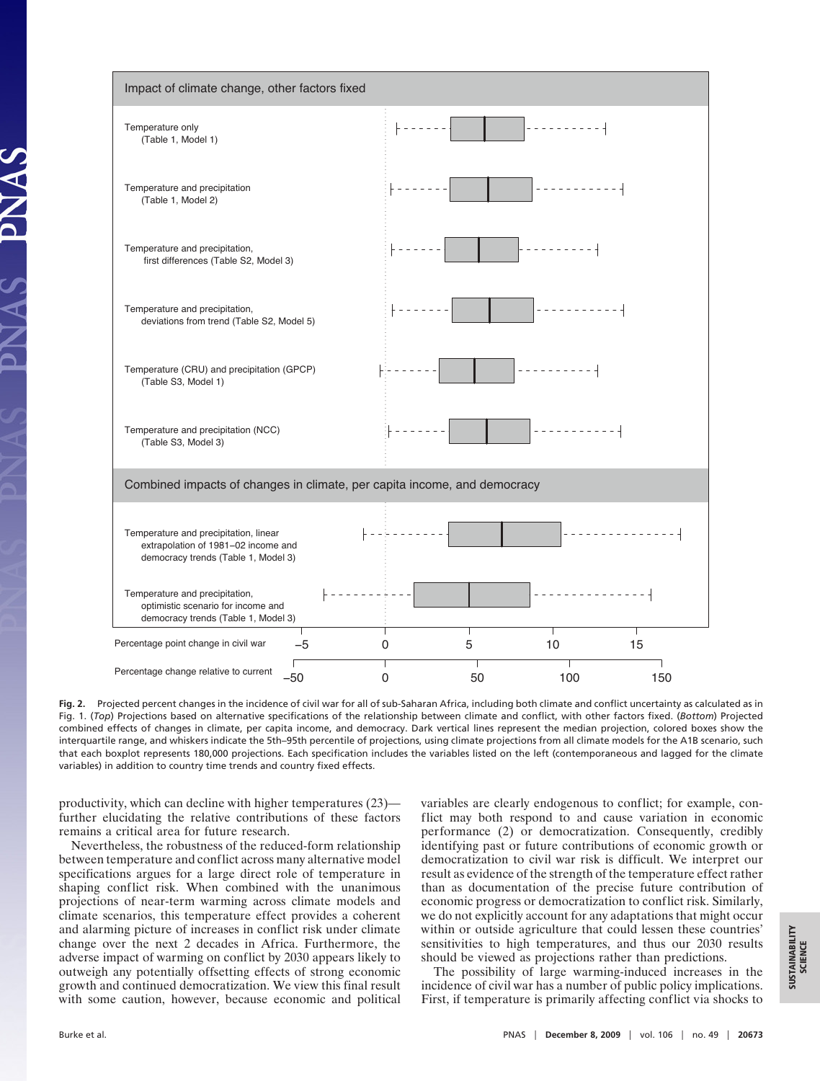

**Fig. 2.** Projected percent changes in the incidence of civil war for all of sub-Saharan Africa, including both climate and conflict uncertainty as calculated as in Fig. 1. (*Top*) Projections based on alternative specifications of the relationship between climate and conflict, with other factors fixed. (*Bottom*) Projected combined effects of changes in climate, per capita income, and democracy. Dark vertical lines represent the median projection, colored boxes show the interquartile range, and whiskers indicate the 5th–95th percentile of projections, using climate projections from all climate models for the A1B scenario, such that each boxplot represents 180,000 projections. Each specification includes the variables listed on the left (contemporaneous and lagged for the climate variables) in addition to country time trends and country fixed effects.

productivity, which can decline with higher temperatures (23) further elucidating the relative contributions of these factors remains a critical area for future research.

Nevertheless, the robustness of the reduced-form relationship between temperature and conflict across many alternative model specifications argues for a large direct role of temperature in shaping conflict risk. When combined with the unanimous projections of near-term warming across climate models and climate scenarios, this temperature effect provides a coherent and alarming picture of increases in conflict risk under climate change over the next 2 decades in Africa. Furthermore, the adverse impact of warming on conflict by 2030 appears likely to outweigh any potentially offsetting effects of strong economic growth and continued democratization. We view this final result with some caution, however, because economic and political variables are clearly endogenous to conflict; for example, conflict may both respond to and cause variation in economic performance (2) or democratization. Consequently, credibly identifying past or future contributions of economic growth or democratization to civil war risk is difficult. We interpret our result as evidence of the strength of the temperature effect rather than as documentation of the precise future contribution of economic progress or democratization to conflict risk. Similarly, we do not explicitly account for any adaptations that might occur within or outside agriculture that could lessen these countries' sensitivities to high temperatures, and thus our 2030 results should be viewed as projections rather than predictions.

The possibility of large warming-induced increases in the incidence of civil war has a number of public policy implications. First, if temperature is primarily affecting conflict via shocks to